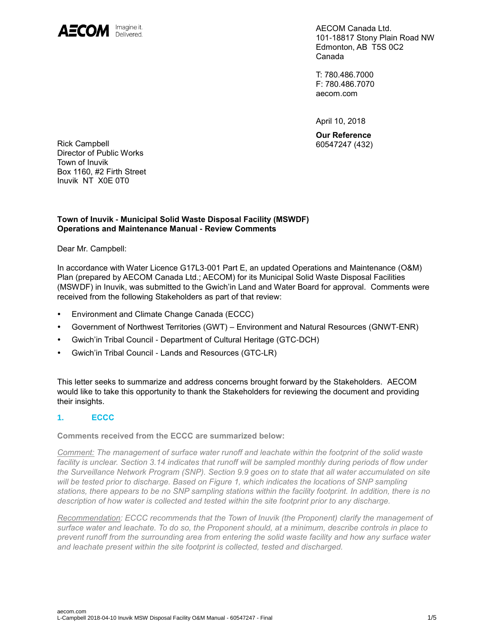

AECOM Canada Ltd. 101-18817 Stony Plain Road NW Edmonton, AB T5S 0C2 Canada

T: 780.486.7000 F: 780.486.7070 aecom.com

April 10, 2018

**Our Reference**

Rick Campbell 60547247 (432) Director of Public Works Town of Inuvik Box 1160, #2 Firth Street Inuvik NT X0E 0T0

## **Town of Inuvik - Municipal Solid Waste Disposal Facility (MSWDF) Operations and Maintenance Manual - Review Comments**

Dear Mr. Campbell:

In accordance with Water Licence G17L3-001 Part E, an updated Operations and Maintenance (O&M) Plan (prepared by AECOM Canada Ltd.; AECOM) for its Municipal Solid Waste Disposal Facilities (MSWDF) in Inuvik, was submitted to the Gwich'in Land and Water Board for approval. Comments were received from the following Stakeholders as part of that review:

- Environment and Climate Change Canada (ECCC)
- Government of Northwest Territories (GWT) Environment and Natural Resources (GNWT-ENR)
- Gwich'in Tribal Council Department of Cultural Heritage (GTC-DCH)
- Gwich'in Tribal Council Lands and Resources (GTC-LR)

This letter seeks to summarize and address concerns brought forward by the Stakeholders. AECOM would like to take this opportunity to thank the Stakeholders for reviewing the document and providing their insights.

## **1. ECCC**

**Comments received from the ECCC are summarized below:**

*Comment: The management of surface water runoff and leachate within the footprint of the solid waste*  facility is unclear. Section 3.14 indicates that runoff will be sampled monthly during periods of flow under *the Surveillance Network Program (SNP). Section 9.9 goes on to state that all water accumulated on site will be tested prior to discharge. Based on Figure 1, which indicates the locations of SNP sampling stations, there appears to be no SNP sampling stations within the facility footprint. In addition, there is no description of how water is collected and tested within the site footprint prior to any discharge.* 

*Recommendation: ECCC recommends that the Town of Inuvik (the Proponent) clarify the management of surface water and leachate. To do so, the Proponent should, at a minimum, describe controls in place to prevent runoff from the surrounding area from entering the solid waste facility and how any surface water and leachate present within the site footprint is collected, tested and discharged.*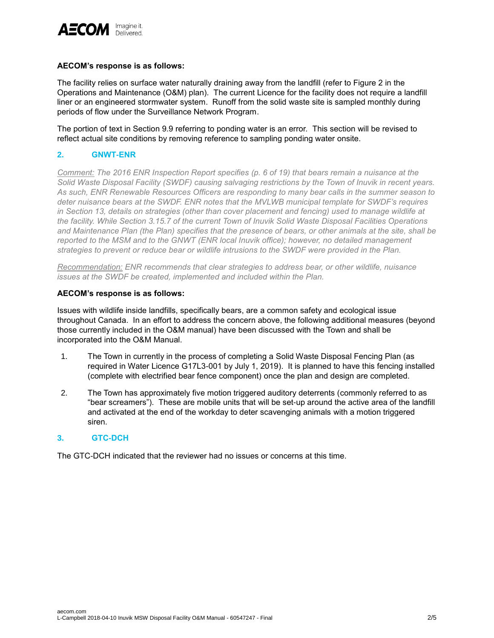

## **AECOM's response is as follows:**

The facility relies on surface water naturally draining away from the landfill (refer to Figure 2 in the Operations and Maintenance (O&M) plan). The current Licence for the facility does not require a landfill liner or an engineered stormwater system. Runoff from the solid waste site is sampled monthly during periods of flow under the Surveillance Network Program.

The portion of text in Section 9.9 referring to ponding water is an error. This section will be revised to reflect actual site conditions by removing reference to sampling ponding water onsite.

## **2. GNWT-ENR**

*Comment: The 2016 ENR Inspection Report specifies (p. 6 of 19) that bears remain a nuisance at the Solid Waste Disposal Facility (SWDF) causing salvaging restrictions by the Town of Inuvik in recent years. As such, ENR Renewable Resources Officers are responding to many bear calls in the summer season to deter nuisance bears at the SWDF. ENR notes that the MVLWB municipal template for SWDF's requires in Section 13, details on strategies (other than cover placement and fencing) used to manage wildlife at the facility. While Section 3.15.7 of the current Town of Inuvik Solid Waste Disposal Facilities Operations and Maintenance Plan (the Plan) specifies that the presence of bears, or other animals at the site, shall be reported to the MSM and to the GNWT (ENR local Inuvik office); however, no detailed management strategies to prevent or reduce bear or wildlife intrusions to the SWDF were provided in the Plan.* 

*Recommendation: ENR recommends that clear strategies to address bear, or other wildlife, nuisance issues at the SWDF be created, implemented and included within the Plan.*

#### **AECOM's response is as follows:**

Issues with wildlife inside landfills, specifically bears, are a common safety and ecological issue throughout Canada. In an effort to address the concern above, the following additional measures (beyond those currently included in the O&M manual) have been discussed with the Town and shall be incorporated into the O&M Manual.

- 1. The Town in currently in the process of completing a Solid Waste Disposal Fencing Plan (as required in Water Licence G17L3-001 by July 1, 2019). It is planned to have this fencing installed (complete with electrified bear fence component) once the plan and design are completed.
- 2. The Town has approximately five motion triggered auditory deterrents (commonly referred to as "bear screamers"). These are mobile units that will be set-up around the active area of the landfill and activated at the end of the workday to deter scavenging animals with a motion triggered siren.

## **3. GTC-DCH**

The GTC-DCH indicated that the reviewer had no issues or concerns at this time.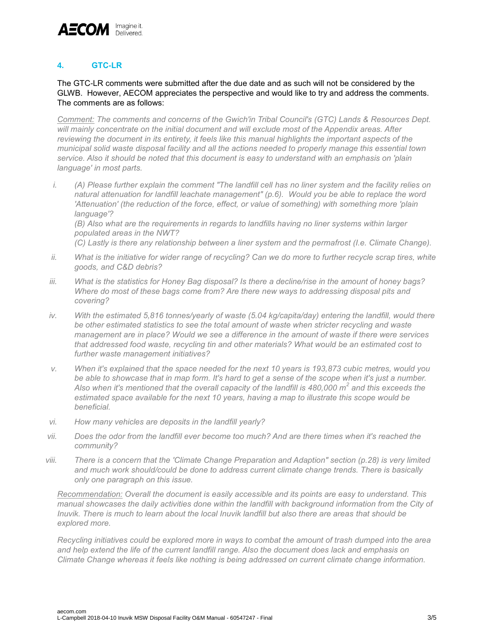

# **4. GTC-LR**

## The GTC-LR comments were submitted after the due date and as such will not be considered by the GLWB. However, AECOM appreciates the perspective and would like to try and address the comments. The comments are as follows:

*Comment: The comments and concerns of the Gwich'in Tribal Council's (GTC) Lands & Resources Dept. will mainly concentrate on the initial document and will exclude most of the Appendix areas. After reviewing the document in its entirety, it feels like this manual highlights the important aspects of the municipal solid waste disposal facility and all the actions needed to properly manage this essential town service. Also it should be noted that this document is easy to understand with an emphasis on 'plain language' in most parts.* 

*i. (A) Please further explain the comment "The landfill cell has no liner system and the facility relies on natural attenuation for landfill leachate management" (p.6). Would you be able to replace the word 'Attenuation' (the reduction of the force, effect, or value of something) with something more 'plain language'?* 

*(B) Also what are the requirements in regards to landfills having no liner systems within larger populated areas in the NWT?* 

*(C) Lastly is there any relationship between a liner system and the permafrost (I.e. Climate Change).* 

- *ii. What is the initiative for wider range of recycling? Can we do more to further recycle scrap tires, white goods, and C&D debris?*
- *iii. What is the statistics for Honey Bag disposal? Is there a decline/rise in the amount of honey bags? Where do most of these bags come from? Are there new ways to addressing disposal pits and covering?*
- *iv. With the estimated 5,816 tonnes/yearly of waste (5.04 kg/capita/day) entering the landfill, would there be other estimated statistics to see the total amount of waste when stricter recycling and waste management are in place? Would we see a difference in the amount of waste if there were services that addressed food waste, recycling tin and other materials? What would be an estimated cost to further waste management initiatives?*
- *v. When it's explained that the space needed for the next 10 years is 193,873 cubic metres, would you be able to showcase that in map form. It's hard to get a sense of the scope when it's just a number. Also when it's mentioned that the overall capacity of the landfill is 480,000 m<sup>2</sup> and this exceeds the estimated space available for the next 10 years, having a map to illustrate this scope would be beneficial.*
- *vi. How many vehicles are deposits in the landfill yearly?*
- *vii. Does the odor from the landfill ever become too much? And are there times when it's reached the community?*
- *viii. There is a concern that the 'Climate Change Preparation and Adaption" section (p.28) is very limited and much work should/could be done to address current climate change trends. There is basically only one paragraph on this issue.*

*Recommendation: Overall the document is easily accessible and its points are easy to understand. This manual showcases the daily activities done within the landfill with background information from the City of Inuvik. There is much to learn about the local Inuvik landfill but also there are areas that should be explored more.* 

*Recycling initiatives could be explored more in ways to combat the amount of trash dumped into the area and help extend the life of the current landfill range. Also the document does lack and emphasis on Climate Change whereas it feels like nothing is being addressed on current climate change information.*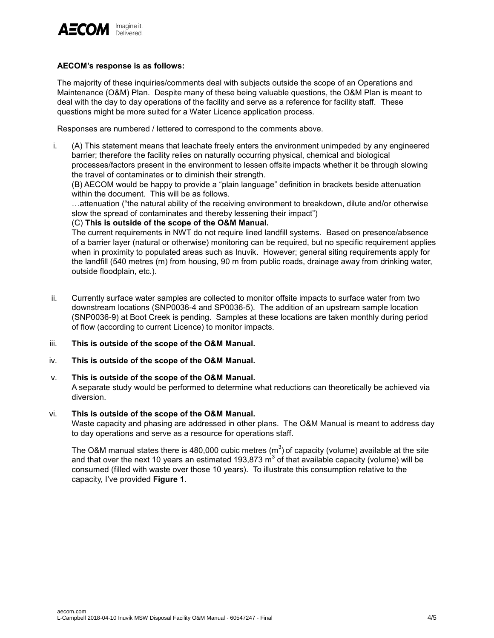

## **AECOM's response is as follows:**

The majority of these inquiries/comments deal with subjects outside the scope of an Operations and Maintenance (O&M) Plan. Despite many of these being valuable questions, the O&M Plan is meant to deal with the day to day operations of the facility and serve as a reference for facility staff. These questions might be more suited for a Water Licence application process.

Responses are numbered / lettered to correspond to the comments above.

i. (A) This statement means that leachate freely enters the environment unimpeded by any engineered barrier; therefore the facility relies on naturally occurring physical, chemical and biological processes/factors present in the environment to lessen offsite impacts whether it be through slowing the travel of contaminates or to diminish their strength.

(B) AECOM would be happy to provide a "plain language" definition in brackets beside attenuation within the document. This will be as follows.

…attenuation ("the natural ability of the receiving environment to breakdown, dilute and/or otherwise slow the spread of contaminates and thereby lessening their impact")

## (C) **This is outside of the scope of the O&M Manual.**

The current requirements in NWT do not require lined landfill systems. Based on presence/absence of a barrier layer (natural or otherwise) monitoring can be required, but no specific requirement applies when in proximity to populated areas such as Inuvik. However; general siting requirements apply for the landfill (540 metres (m) from housing, 90 m from public roads, drainage away from drinking water, outside floodplain, etc.).

- ii. Currently surface water samples are collected to monitor offsite impacts to surface water from two downstream locations (SNP0036-4 and SP0036-5). The addition of an upstream sample location (SNP0036-9) at Boot Creek is pending. Samples at these locations are taken monthly during period of flow (according to current Licence) to monitor impacts.
- iii. **This is outside of the scope of the O&M Manual.**
- iv. **This is outside of the scope of the O&M Manual.**
- v. **This is outside of the scope of the O&M Manual.**

A separate study would be performed to determine what reductions can theoretically be achieved via diversion.

## vi. **This is outside of the scope of the O&M Manual.**

Waste capacity and phasing are addressed in other plans. The O&M Manual is meant to address day to day operations and serve as a resource for operations staff.

The O&M manual states there is 480,000 cubic metres (m<sup>3</sup>) of capacity (volume) available at the site and that over the next 10 years an estimated 193,873  $m^3$  of that available capacity (volume) will be consumed (filled with waste over those 10 years). To illustrate this consumption relative to the capacity, I've provided **Figure 1**.